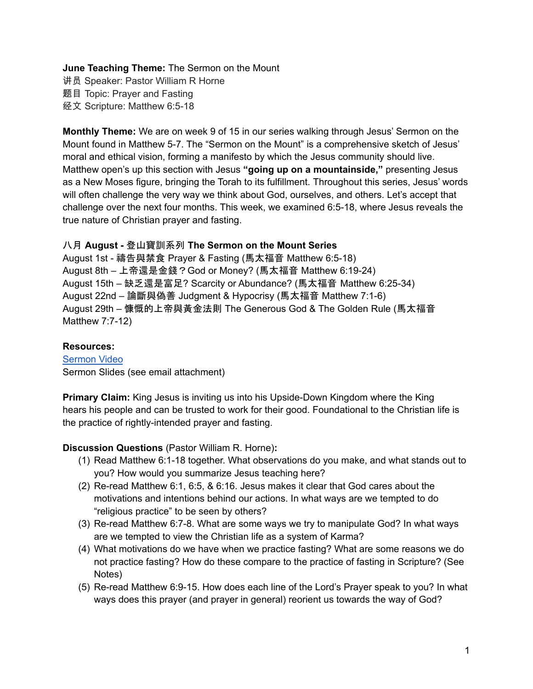# **June Teaching Theme:** The Sermon on the Mount

讲员 Speaker: Pastor William R Horne 题目 Topic: Prayer and Fasting 经文 Scripture: Matthew 6:5-18

**Monthly Theme:** We are on week 9 of 15 in our series walking through Jesus' Sermon on the Mount found in Matthew 5-7. The "Sermon on the Mount" is a comprehensive sketch of Jesus' moral and ethical vision, forming a manifesto by which the Jesus community should live. Matthew open's up this section with Jesus **"going up on a mountainside,"** presenting Jesus as a New Moses figure, bringing the Torah to its fulfillment. Throughout this series, Jesus' words will often challenge the very way we think about God, ourselves, and others. Let's accept that challenge over the next four months. This week, we examined 6:5-18, where Jesus reveals the true nature of Christian prayer and fasting.

# 八月 **August -** 登山寶訓系列 **The Sermon on the Mount Series**

August 1st - 禱告與禁食 Prayer & Fasting (馬太福音 Matthew 6:5-18) August 8th – 上帝還是金錢?God or Money? (馬太福音 Matthew 6:19-24) August 15th – 缺乏還是富足? Scarcity or Abundance? (馬太福音 Matthew 6:25-34) August 22nd – 論斷與偽善 Judgment & Hypocrisy (馬太福音 Matthew 7:1-6) August 29th – 慷慨的上帝與黃金法則 The Generous God & The Golden Rule (馬太福音 Matthew 7:7-12)

## **Resources:**

[Sermon](https://www.youtube.com/watch?v=NjsLmvWgRlo) Video Sermon Slides (see email attachment)

**Primary Claim:** King Jesus is inviting us into his Upside-Down Kingdom where the King hears his people and can be trusted to work for their good. Foundational to the Christian life is the practice of rightly-intended prayer and fasting.

# **Discussion Questions** (Pastor William R. Horne)**:**

- (1) Read Matthew 6:1-18 together. What observations do you make, and what stands out to you? How would you summarize Jesus teaching here?
- (2) Re-read Matthew 6:1, 6:5, & 6:16. Jesus makes it clear that God cares about the motivations and intentions behind our actions. In what ways are we tempted to do "religious practice" to be seen by others?
- (3) Re-read Matthew 6:7-8. What are some ways we try to manipulate God? In what ways are we tempted to view the Christian life as a system of Karma?
- (4) What motivations do we have when we practice fasting? What are some reasons we do not practice fasting? How do these compare to the practice of fasting in Scripture? (See Notes)
- (5) Re-read Matthew 6:9-15. How does each line of the Lord's Prayer speak to you? In what ways does this prayer (and prayer in general) reorient us towards the way of God?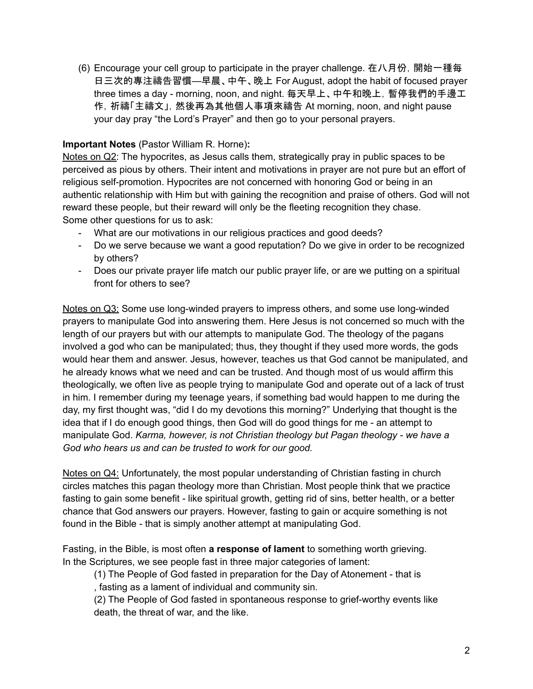(6) Encourage your cell group to participate in the prayer challenge. 在八月份,開始一種每 日三次的專注禱告習慣—早晨、中午、晚上 For August, adopt the habit of focused prayer three times a day - morning, noon, and night. 每天早上、中午和晚上,暫停我們的手邊工 作,祈禱「主禱文」,然後再為其他個人事項來禱告 At morning, noon, and night pause your day pray "the Lord's Prayer" and then go to your personal prayers.

# **Important Notes** (Pastor William R. Horne)**:**

Notes on Q2: The hypocrites, as Jesus calls them, strategically pray in public spaces to be perceived as pious by others. Their intent and motivations in prayer are not pure but an effort of religious self-promotion. Hypocrites are not concerned with honoring God or being in an authentic relationship with Him but with gaining the recognition and praise of others. God will not reward these people, but their reward will only be the fleeting recognition they chase. Some other questions for us to ask:

- What are our motivations in our religious practices and good deeds?
- Do we serve because we want a good reputation? Do we give in order to be recognized by others?
- Does our private prayer life match our public prayer life, or are we putting on a spiritual front for others to see?

Notes on Q3: Some use long-winded prayers to impress others, and some use long-winded prayers to manipulate God into answering them. Here Jesus is not concerned so much with the length of our prayers but with our attempts to manipulate God. The theology of the pagans involved a god who can be manipulated; thus, they thought if they used more words, the gods would hear them and answer. Jesus, however, teaches us that God cannot be manipulated, and he already knows what we need and can be trusted. And though most of us would affirm this theologically, we often live as people trying to manipulate God and operate out of a lack of trust in him. I remember during my teenage years, if something bad would happen to me during the day, my first thought was, "did I do my devotions this morning?" Underlying that thought is the idea that if I do enough good things, then God will do good things for me - an attempt to manipulate God. *Karma, however, is not Christian theology but Pagan theology - we have a God who hears us and can be trusted to work for our good.*

Notes on Q4: Unfortunately, the most popular understanding of Christian fasting in church circles matches this pagan theology more than Christian. Most people think that we practice fasting to gain some benefit - like spiritual growth, getting rid of sins, better health, or a better chance that God answers our prayers. However, fasting to gain or acquire something is not found in the Bible - that is simply another attempt at manipulating God.

Fasting, in the Bible, is most often **a response of lament** to something worth grieving. In the Scriptures, we see people fast in three major categories of lament:

(1) The People of God fasted in preparation for the Day of Atonement - that is , fasting as a lament of individual and community sin.

(2) The People of God fasted in spontaneous response to grief-worthy events like death, the threat of war, and the like.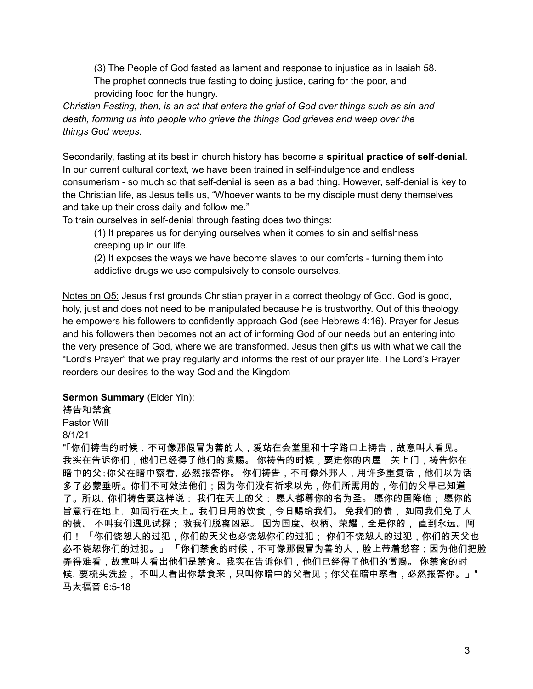(3) The People of God fasted as lament and response to injustice as in Isaiah 58. The prophet connects true fasting to doing justice, caring for the poor, and providing food for the hungry.

*Christian Fasting, then, is an act that enters the grief of God over things such as sin and death, forming us into people who grieve the things God grieves and weep over the things God weeps.*

Secondarily, fasting at its best in church history has become a **spiritual practice of self-denial**. In our current cultural context, we have been trained in self-indulgence and endless consumerism - so much so that self-denial is seen as a bad thing. However, self-denial is key to the Christian life, as Jesus tells us, "Whoever wants to be my disciple must deny themselves and take up their cross daily and follow me."

To train ourselves in self-denial through fasting does two things:

(1) It prepares us for denying ourselves when it comes to sin and selfishness creeping up in our life.

(2) It exposes the ways we have become slaves to our comforts - turning them into addictive drugs we use compulsively to console ourselves.

Notes on Q5: Jesus first grounds Christian prayer in a correct theology of God. God is good, holy, just and does not need to be manipulated because he is trustworthy. Out of this theology, he empowers his followers to confidently approach God (see Hebrews 4:16). Prayer for Jesus and his followers then becomes not an act of informing God of our needs but an entering into the very presence of God, where we are transformed. Jesus then gifts us with what we call the "Lord's Prayer" that we pray regularly and informs the rest of our prayer life. The Lord's Prayer reorders our desires to the way God and the Kingdom

### **Sermon Summary** (Elder Yin):

## 祷告和禁食

Pastor Will

#### 8/1/21

"「你们祷告的时候,不可像那假冒为善的人,爱站在会堂里和十字路口上祷告,故意叫人看见。 我实在告诉你们,他们已经得了他们的赏赐。 你祷告的时候,要进你的内屋,关上门,祷告你在 暗中的父;你父在暗中察看, 必然报答你。 你们祷告, 不可像外邦人, 用许多重复话, 他们以为话 多了必蒙垂听。你们不可效法他们;因为你们没有祈求以先,你们所需用的,你们的父早已知道。 了。 所以,你们祷告要这样说: 我们在天上的父: 愿人都尊你的名为圣。 愿你的国降临; 愿你的 旨意行在地上, 如同行在天上。 我们日用的饮食,今日赐给我们。 免我们的债, 如同我们免了人 的债。 不叫我们遇见试探; 救我们脱离凶恶。 因为国度、权柄、荣耀,全是你的, 直到永远。阿 们! 「你们饶恕人的过犯,你们的天父也必饶恕你们的过犯; 你们不饶恕人的过犯,你们的天父也 必不饶恕你们的过犯。」 「你们禁食的时候,不可像那假冒为善的人,脸上带着愁容;因为他们把脸 弄得难看,故意叫人看出他们是禁食。我实在告诉你们,他们已经得了他们的赏赐。 你禁食的时 候,要梳头洗脸, 不叫人看出你禁食来,只叫你暗中的父看见;你父在暗中察看,必然报答你。」" 马太福音 6:5-18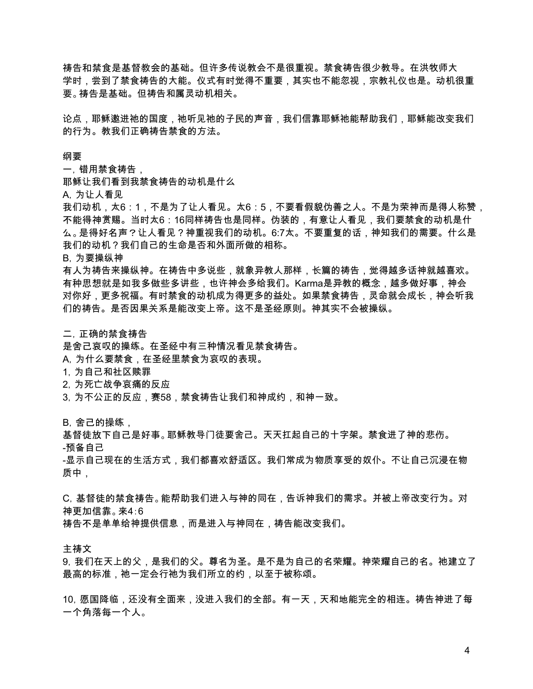祷告和禁食是基督教会的基础。但许多传说教会不是很重视。禁食祷告很少教导。在洪牧师大 学时,尝到了禁食祷告的大能。仪式有时觉得不重要,其实也不能忽视,宗教礼仪也是。动机很重 要。祷告是基础。但祷告和属灵动机相关。

论点,耶稣邀进祂的国度,祂听见祂的子民的声音,我们信靠耶稣祂能帮助我们,耶稣能改变我们 的行为。教我们正确祷告禁食的方法。

#### 纲要

一,错用禁食祷告,

耶稣让我们看到我禁食祷告的动机是什么

A,为让人看见

我们动机,太6:1,不是为了让人看见。太6:5,不要看假貌伪善之人。不是为荣神而是得人称赞, 不能得神赏赐。当时太6:16同样祷告也是同样。伪装的,有意让人看见,我们要禁食的动机是什 么。是得好名声?让人看见?神重视我们的动机。6:7太。不要重复的话,神知我们的需要。什么是 我们的动机?我们自己的生命是否和外面所做的相称。

B,为要操纵神

有人为祷告来操纵神。在祷告中多说些,就象异教人那样,长篇的祷告,觉得越多话神就越喜欢。 有种思想就是如我多做些多讲些,也许神会多给我们。Karma是异教的概念,越多做好事,神会 对你好,更多祝福。有时禁食的动机成为得更多的益处。如果禁食祷告,灵命就会成长,神会听我 们的祷告。是否因果关系是能改变上帝。这不是圣经原则。神其实不会被操纵。

#### 二,正确的禁食祷告

是舍己哀叹的操练。在圣经中有三种情况看见禁食祷告。

A,为什么要禁食,在圣经里禁食为哀叹的表现。

- 1,为自己和社区赎罪
- 2,为死亡战争哀痛的反应
- 3, 为不公正的反应,赛58,禁食祷告让我们和神成约,和神一致。

B, 舍己的操练,

基督徒放下自己是好事。耶稣教导门徒要舍己。天天扛起自己的十字架。禁食进了神的悲伤。

-预备自己

-显示自己现在的生活方式,我们都喜欢舒适区。我们常成为物质享受的奴仆。不让自己沉浸在物 质中,

C,基督徒的禁食祷告。能帮助我们进入与神的同在,告诉神我们的需求。并被上帝改变行为。对 神更加信靠。来4:6

祷告不是单单给神提供信息,而是进入与神同在,祷告能改变我们。

主祷文

9,我们在天上的父,是我们的父。尊名为圣。是不是为自己的名荣耀。神荣耀自己的名。祂建立了 最高的标准,祂一定会行祂为我们所立的约,以至于被称颂。

10,愿国降临,还没有全面来,没进入我们的全部。有一天,天和地能完全的相连。祷告神进了每 一个角落每一个人。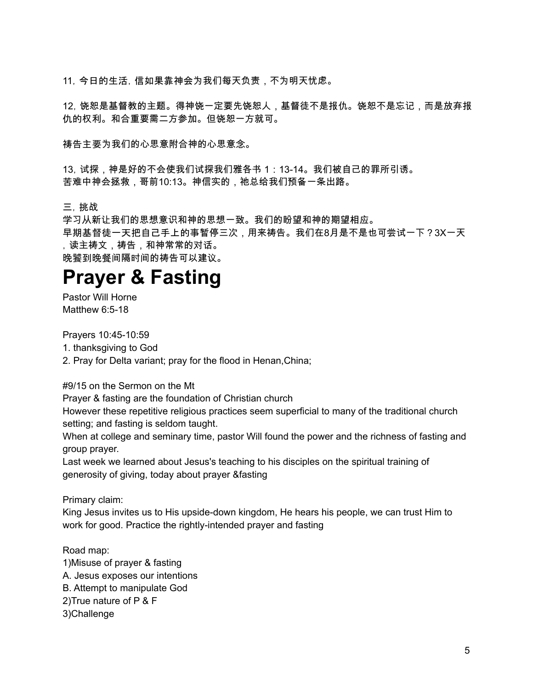11,今日的生活,信如果靠神会为我们每天负责,不为明天忧虑。

12,饶恕是基督教的主题。得神饶一定要先饶恕人,基督徒不是报仇。饶恕不是忘记,而是放弃报 仇的权利。和合重要需二方参加。但饶恕一方就可。

祷告主要为我们的心思意附合神的心思意念。

13,试探,神是好的不会使我们试探我们雅各书 1:13-14。我们被自己的罪所引诱。 苦难中神会拯救,哥前10:13。神信实的,祂总给我们预备一条出路。

三,挑战

学习从新让我们的思想意识和神的思想一致。我们的盼望和神的期望相应。

早期基督徒一天把自己手上的事暂停三次,用来祷告。我们在8月是不是也可尝试一下?3X一天 ,读主祷文,祷告,和神常常的对话。

晚饕到晚餐间隔时间的祷告可以建议。

# **Prayer & Fasting**

Pastor Will Horne Matthew 6:5-18

Prayers 10:45-10:59

1. thanksgiving to God

2. Pray for Delta variant; pray for the flood in Henan,China;

#9/15 on the Sermon on the Mt

Prayer & fasting are the foundation of Christian church

However these repetitive religious practices seem superficial to many of the traditional church setting; and fasting is seldom taught.

When at college and seminary time, pastor Will found the power and the richness of fasting and group prayer.

Last week we learned about Jesus's teaching to his disciples on the spiritual training of generosity of giving, today about prayer &fasting

Primary claim:

King Jesus invites us to His upside-down kingdom, He hears his people, we can trust Him to work for good. Practice the rightly-intended prayer and fasting

Road map: 1)Misuse of prayer & fasting A. Jesus exposes our intentions B. Attempt to manipulate God 2)True nature of P & F 3)Challenge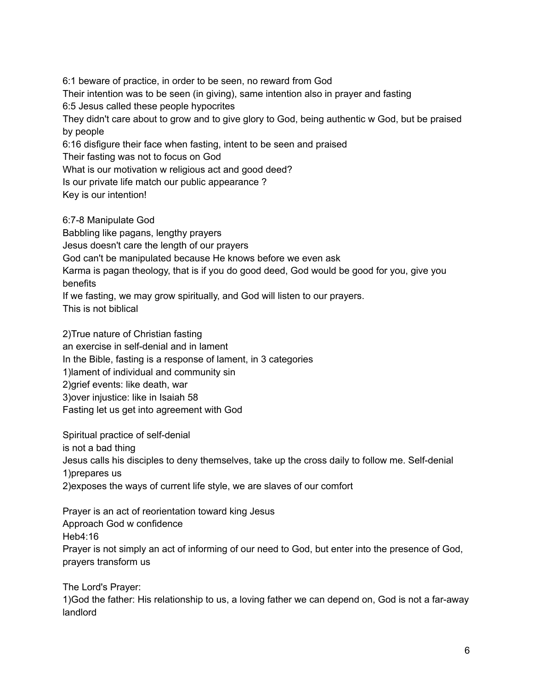6:1 beware of practice, in order to be seen, no reward from God Their intention was to be seen (in giving), same intention also in prayer and fasting 6:5 Jesus called these people hypocrites They didn't care about to grow and to give glory to God, being authentic w God, but be praised by people 6:16 disfigure their face when fasting, intent to be seen and praised Their fasting was not to focus on God What is our motivation w religious act and good deed? Is our private life match our public appearance ? Key is our intention! 6:7-8 Manipulate God

Babbling like pagans, lengthy prayers Jesus doesn't care the length of our prayers God can't be manipulated because He knows before we even ask Karma is pagan theology, that is if you do good deed, God would be good for you, give you benefits If we fasting, we may grow spiritually, and God will listen to our prayers.

This is not biblical

2)True nature of Christian fasting an exercise in self-denial and in lament In the Bible, fasting is a response of lament, in 3 categories 1)lament of individual and community sin 2)grief events: like death, war 3)over injustice: like in Isaiah 58 Fasting let us get into agreement with God

Spiritual practice of self-denial is not a bad thing Jesus calls his disciples to deny themselves, take up the cross daily to follow me. Self-denial 1)prepares us 2)exposes the ways of current life style, we are slaves of our comfort

Prayer is an act of reorientation toward king Jesus Approach God w confidence Heb4:16 Prayer is not simply an act of informing of our need to God, but enter into the presence of God, prayers transform us

The Lord's Prayer:

1)God the father: His relationship to us, a loving father we can depend on, God is not a far-away landlord